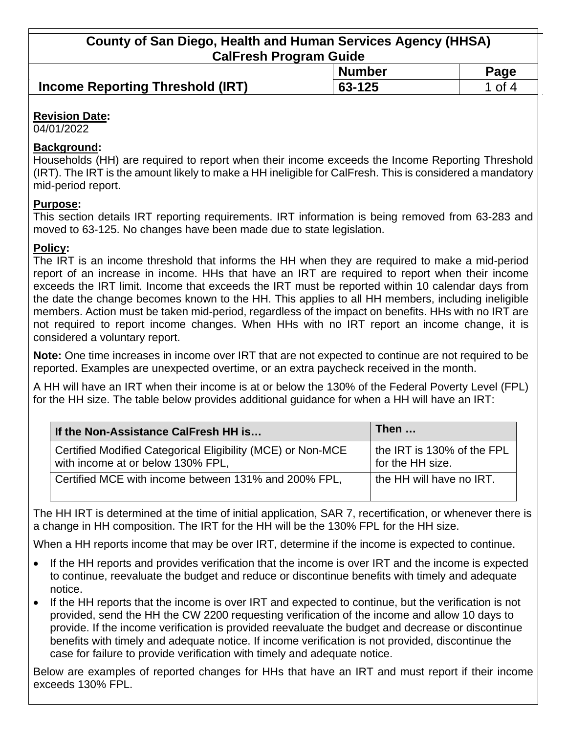**County of San Diego, Health and Human Services Agency (HHSA) CalFresh Program Guide**

|                                         | <b>Number</b> | Page |
|-----------------------------------------|---------------|------|
| <b>Income Reporting Threshold (IRT)</b> | 63-125        | of 4 |

## **Revision Date:**

04/01/2022

### **Background:**

Households (HH) are required to report when their income exceeds the Income Reporting Threshold (IRT). The IRT is the amount likely to make a HH ineligible for CalFresh. This is considered a mandatory mid-period report.

### **Purpose:**

This section details IRT reporting requirements. IRT information is being removed from 63-283 and moved to 63-125. No changes have been made due to state legislation.

### **Policy:**

The IRT is an income threshold that informs the HH when they are required to make a mid-period report of an increase in income. HHs that have an IRT are required to report when their income exceeds the IRT limit. Income that exceeds the IRT must be reported within 10 calendar days from the date the change becomes known to the HH. This applies to all HH members, including ineligible members. Action must be taken mid-period, regardless of the impact on benefits. HHs with no IRT are not required to report income changes. When HHs with no IRT report an income change, it is considered a voluntary report.

**Note:** One time increases in income over IRT that are not expected to continue are not required to be reported. Examples are unexpected overtime, or an extra paycheck received in the month.

A HH will have an IRT when their income is at or below the 130% of the Federal Poverty Level (FPL) for the HH size. The table below provides additional guidance for when a HH will have an IRT:

| If the Non-Assistance CalFresh HH is                                                             | Then                                           |
|--------------------------------------------------------------------------------------------------|------------------------------------------------|
| Certified Modified Categorical Eligibility (MCE) or Non-MCE<br>with income at or below 130% FPL, | the IRT is 130% of the FPL<br>for the HH size. |
| Certified MCE with income between 131% and 200% FPL,                                             | the HH will have no IRT.                       |

The HH IRT is determined at the time of initial application, SAR 7, recertification, or whenever there is a change in HH composition. The IRT for the HH will be the 130% FPL for the HH size.

When a HH reports income that may be over IRT, determine if the income is expected to continue.

- If the HH reports and provides verification that the income is over IRT and the income is expected to continue, reevaluate the budget and reduce or discontinue benefits with timely and adequate notice.
- If the HH reports that the income is over IRT and expected to continue, but the verification is not provided, send the HH the CW 2200 requesting verification of the income and allow 10 days to provide. If the income verification is provided reevaluate the budget and decrease or discontinue benefits with timely and adequate notice. If income verification is not provided, discontinue the case for failure to provide verification with timely and adequate notice.

Below are examples of reported changes for HHs that have an IRT and must report if their income exceeds 130% FPL.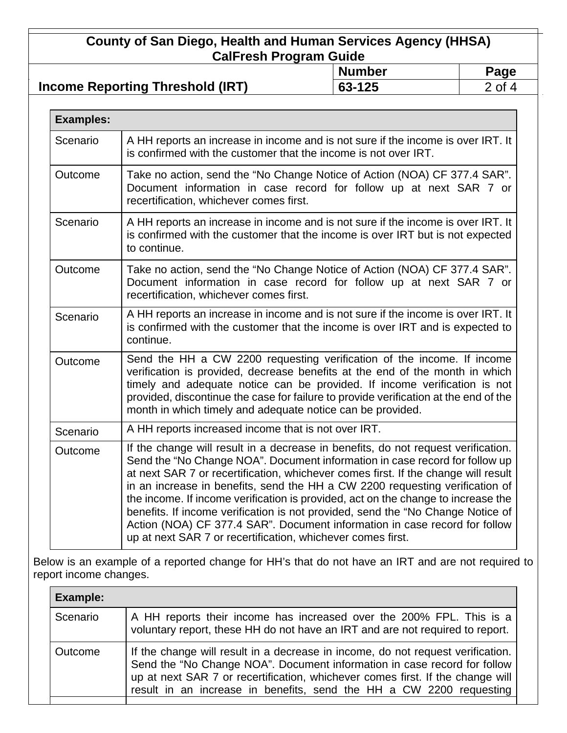# **County of San Diego, Health and Human Services Agency (HHSA) CalFresh Program Guide**

|                                         | <b>Number</b> | Page           |
|-----------------------------------------|---------------|----------------|
| <b>Income Reporting Threshold (IRT)</b> | 63-125        | $\degree$ of 4 |
|                                         |               |                |

| <b>Examples:</b> |                                                                                                                                                                                                                                                                                                                                                                                                                                                                                                                                                                                                                                                             |
|------------------|-------------------------------------------------------------------------------------------------------------------------------------------------------------------------------------------------------------------------------------------------------------------------------------------------------------------------------------------------------------------------------------------------------------------------------------------------------------------------------------------------------------------------------------------------------------------------------------------------------------------------------------------------------------|
| Scenario         | A HH reports an increase in income and is not sure if the income is over IRT. It<br>is confirmed with the customer that the income is not over IRT.                                                                                                                                                                                                                                                                                                                                                                                                                                                                                                         |
| Outcome          | Take no action, send the "No Change Notice of Action (NOA) CF 377.4 SAR".<br>Document information in case record for follow up at next SAR 7 or<br>recertification, whichever comes first.                                                                                                                                                                                                                                                                                                                                                                                                                                                                  |
| Scenario         | A HH reports an increase in income and is not sure if the income is over IRT. It<br>is confirmed with the customer that the income is over IRT but is not expected<br>to continue.                                                                                                                                                                                                                                                                                                                                                                                                                                                                          |
| Outcome          | Take no action, send the "No Change Notice of Action (NOA) CF 377.4 SAR".<br>Document information in case record for follow up at next SAR 7 or<br>recertification, whichever comes first.                                                                                                                                                                                                                                                                                                                                                                                                                                                                  |
| Scenario         | A HH reports an increase in income and is not sure if the income is over IRT. It<br>is confirmed with the customer that the income is over IRT and is expected to<br>continue.                                                                                                                                                                                                                                                                                                                                                                                                                                                                              |
| Outcome          | Send the HH a CW 2200 requesting verification of the income. If income<br>verification is provided, decrease benefits at the end of the month in which<br>timely and adequate notice can be provided. If income verification is not<br>provided, discontinue the case for failure to provide verification at the end of the<br>month in which timely and adequate notice can be provided.                                                                                                                                                                                                                                                                   |
| Scenario         | A HH reports increased income that is not over IRT.                                                                                                                                                                                                                                                                                                                                                                                                                                                                                                                                                                                                         |
| Outcome          | If the change will result in a decrease in benefits, do not request verification.<br>Send the "No Change NOA". Document information in case record for follow up<br>at next SAR 7 or recertification, whichever comes first. If the change will result<br>in an increase in benefits, send the HH a CW 2200 requesting verification of<br>the income. If income verification is provided, act on the change to increase the<br>benefits. If income verification is not provided, send the "No Change Notice of<br>Action (NOA) CF 377.4 SAR". Document information in case record for follow<br>up at next SAR 7 or recertification, whichever comes first. |

Below is an example of a reported change for HH's that do not have an IRT and are not required to report income changes.

| Example: |                                                                                                                                                                                                                                                                                                                      |  |
|----------|----------------------------------------------------------------------------------------------------------------------------------------------------------------------------------------------------------------------------------------------------------------------------------------------------------------------|--|
| Scenario | A HH reports their income has increased over the 200% FPL. This is a<br>voluntary report, these HH do not have an IRT and are not required to report.                                                                                                                                                                |  |
| Outcome  | If the change will result in a decrease in income, do not request verification.<br>Send the "No Change NOA". Document information in case record for follow<br>up at next SAR 7 or recertification, whichever comes first. If the change will<br>result in an increase in benefits, send the HH a CW 2200 requesting |  |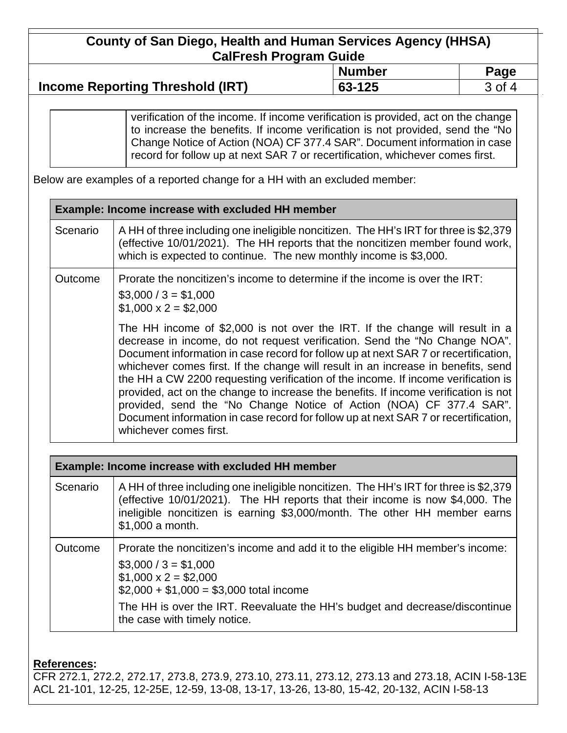# **County of San Diego, Health and Human Services Agency (HHSA) CalFresh Program Guide**

|                                         | <b>Number</b> | Page |
|-----------------------------------------|---------------|------|
| <b>Income Reporting Threshold (IRT)</b> | 63-125        | 0t   |

verification of the income. If income verification is provided, act on the change to increase the benefits. If income verification is not provided, send the "No Change Notice of Action (NOA) CF 377.4 SAR". Document information in case record for follow up at next SAR 7 or recertification, whichever comes first.

Below are examples of a reported change for a HH with an excluded member:

| <b>Example: Income increase with excluded HH member</b> |                                                                                                                                                                                                                                                                                                                                                                                                                                                                                                                                                                                                                                                                                                            |  |  |
|---------------------------------------------------------|------------------------------------------------------------------------------------------------------------------------------------------------------------------------------------------------------------------------------------------------------------------------------------------------------------------------------------------------------------------------------------------------------------------------------------------------------------------------------------------------------------------------------------------------------------------------------------------------------------------------------------------------------------------------------------------------------------|--|--|
| Scenario                                                | A HH of three including one ineligible noncitizen. The HH's IRT for three is \$2,379<br>(effective 10/01/2021). The HH reports that the noncitizen member found work,<br>which is expected to continue. The new monthly income is \$3,000.                                                                                                                                                                                                                                                                                                                                                                                                                                                                 |  |  |
| Outcome                                                 | Prorate the noncitizen's income to determine if the income is over the IRT:<br>$$3,000 / 3 = $1,000$<br>$$1,000 \times 2 = $2,000$                                                                                                                                                                                                                                                                                                                                                                                                                                                                                                                                                                         |  |  |
|                                                         | The HH income of \$2,000 is not over the IRT. If the change will result in a<br>decrease in income, do not request verification. Send the "No Change NOA".<br>Document information in case record for follow up at next SAR 7 or recertification,<br>whichever comes first. If the change will result in an increase in benefits, send<br>the HH a CW 2200 requesting verification of the income. If income verification is<br>provided, act on the change to increase the benefits. If income verification is not<br>provided, send the "No Change Notice of Action (NOA) CF 377.4 SAR".<br>Document information in case record for follow up at next SAR 7 or recertification,<br>whichever comes first. |  |  |
|                                                         | <b>Example: Income increase with excluded HH member</b>                                                                                                                                                                                                                                                                                                                                                                                                                                                                                                                                                                                                                                                    |  |  |
| Scenario                                                | A HH of three including one ineligible noncitizen. The HH's IRT for three is \$2,379<br>(effective 10/01/2021). The HH reports that their income is now \$4,000. The<br>ineligible noncitizen is earning \$3,000/month. The other HH member earns<br>\$1,000 a month.                                                                                                                                                                                                                                                                                                                                                                                                                                      |  |  |

Outcome  $\Box$  Prorate the noncitizen's income and add it to the eligible HH member's income:  $$3,000 / 3 = $1,000$ 

 $$1,000 \times 2 = $2,000$ 

 $$2,000 + $1,000 = $3,000$  total income

The HH is over the IRT. Reevaluate the HH's budget and decrease/discontinue the case with timely notice.

## **References:**

CFR 272.1, 272.2, 272.17, 273.8, 273.9, 273.10, 273.11, 273.12, 273.13 and 273.18, ACIN I-58-13E ACL 21-101, 12-25, 12-25E, 12-59, 13-08, 13-17, 13-26, 13-80, 15-42, 20-132, ACIN I-58-13